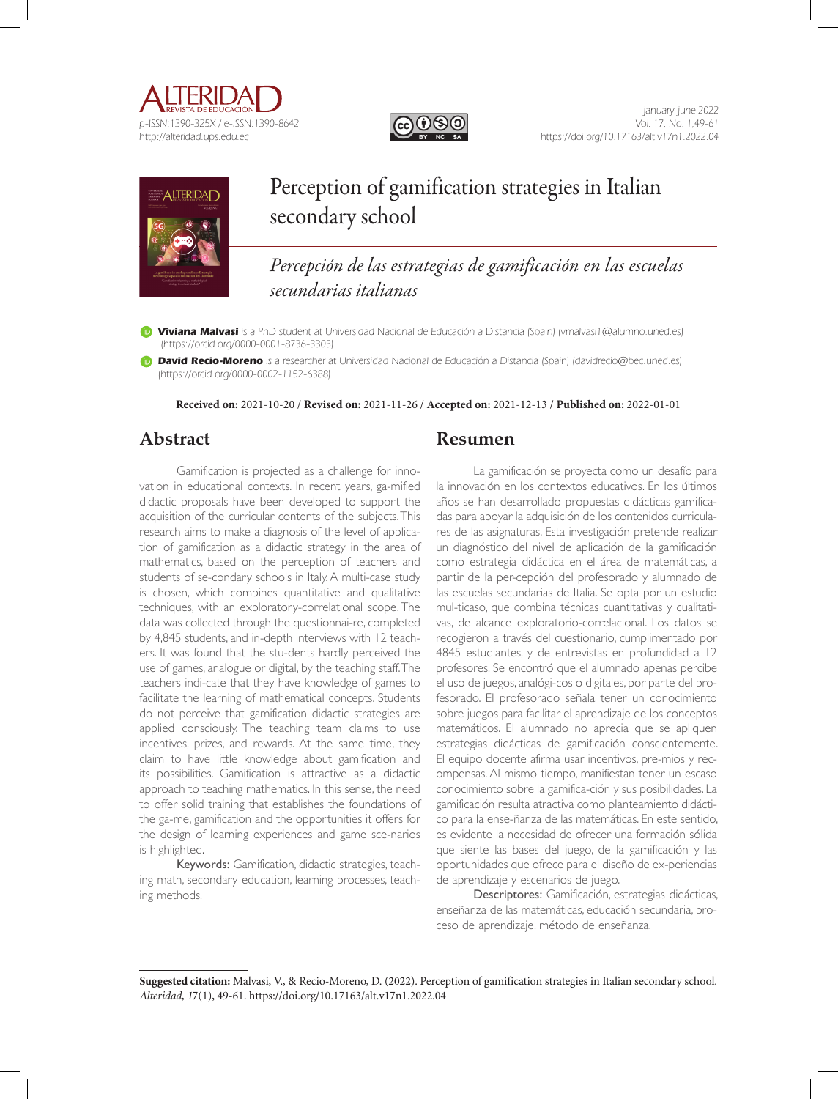





# Perception of gamification strategies in Italian secondary school

*Percepción de las estrategias de gamificación en las escuelas secundarias italianas*

**Viviana Malvasi** is a PhD student at Universidad Nacional de Educación a Distancia (Spain) (vmalvasi1@alumno.uned.es) (https://orcid.org/0000-0001-8736-3303)

**David Recio-Moreno** is a researcher at Universidad Nacional de Educación a Distancia (Spain) (davidrecio@bec.uned.es) (https://orcid.org/0000-0002-1152-6388)

**Received on:** 2021-10-20 / **Revised on:** 2021-11-26 / **Accepted on:** 2021-12-13 / **Published on:** 2022-01-01

# **Abstract**

Gamification is projected as a challenge for innovation in educational contexts. In recent years, ga-mified didactic proposals have been developed to support the acquisition of the curricular contents of the subjects. This research aims to make a diagnosis of the level of application of gamification as a didactic strategy in the area of mathematics, based on the perception of teachers and students of se-condary schools in Italy. A multi-case study is chosen, which combines quantitative and qualitative techniques, with an exploratory-correlational scope. The data was collected through the questionnai-re, completed by 4,845 students, and in-depth interviews with 12 teachers. It was found that the stu-dents hardly perceived the use of games, analogue or digital, by the teaching staff. The teachers indi-cate that they have knowledge of games to facilitate the learning of mathematical concepts. Students do not perceive that gamification didactic strategies are applied consciously. The teaching team claims to use incentives, prizes, and rewards. At the same time, they claim to have little knowledge about gamification and its possibilities. Gamification is attractive as a didactic approach to teaching mathematics. In this sense, the need to offer solid training that establishes the foundations of the ga-me, gamification and the opportunities it offers for the design of learning experiences and game sce-narios is highlighted.

Keywords: Gamification, didactic strategies, teaching math, secondary education, learning processes, teaching methods.

# **Resumen**

La gamificación se proyecta como un desafío para la innovación en los contextos educativos. En los últimos años se han desarrollado propuestas didácticas gamificadas para apoyar la adquisición de los contenidos curriculares de las asignaturas. Esta investigación pretende realizar un diagnóstico del nivel de aplicación de la gamificación como estrategia didáctica en el área de matemáticas, a partir de la per-cepción del profesorado y alumnado de las escuelas secundarias de Italia. Se opta por un estudio mul-ticaso, que combina técnicas cuantitativas y cualitativas, de alcance exploratorio-correlacional. Los datos se recogieron a través del cuestionario, cumplimentado por 4845 estudiantes, y de entrevistas en profundidad a 12 profesores. Se encontró que el alumnado apenas percibe el uso de juegos, analógi-cos o digitales, por parte del profesorado. El profesorado señala tener un conocimiento sobre juegos para facilitar el aprendizaje de los conceptos matemáticos. El alumnado no aprecia que se apliquen estrategias didácticas de gamificación conscientemente. El equipo docente afirma usar incentivos, pre-mios y recompensas. Al mismo tiempo, manifiestan tener un escaso conocimiento sobre la gamifica-ción y sus posibilidades. La gamificación resulta atractiva como planteamiento didáctico para la ense-ñanza de las matemáticas. En este sentido, es evidente la necesidad de ofrecer una formación sólida que siente las bases del juego, de la gamificación y las oportunidades que ofrece para el diseño de ex-periencias de aprendizaje y escenarios de juego.

Descriptores: Gamificación, estrategias didácticas, enseñanza de las matemáticas, educación secundaria, proceso de aprendizaje, método de enseñanza.

**Suggested citation:** Malvasi, V., & Recio-Moreno, D. (2022). Perception of gamification strategies in Italian secondary school. *Alteridad, 1*7(1), 49-61. https://doi.org/10.17163/alt.v17n1.2022.04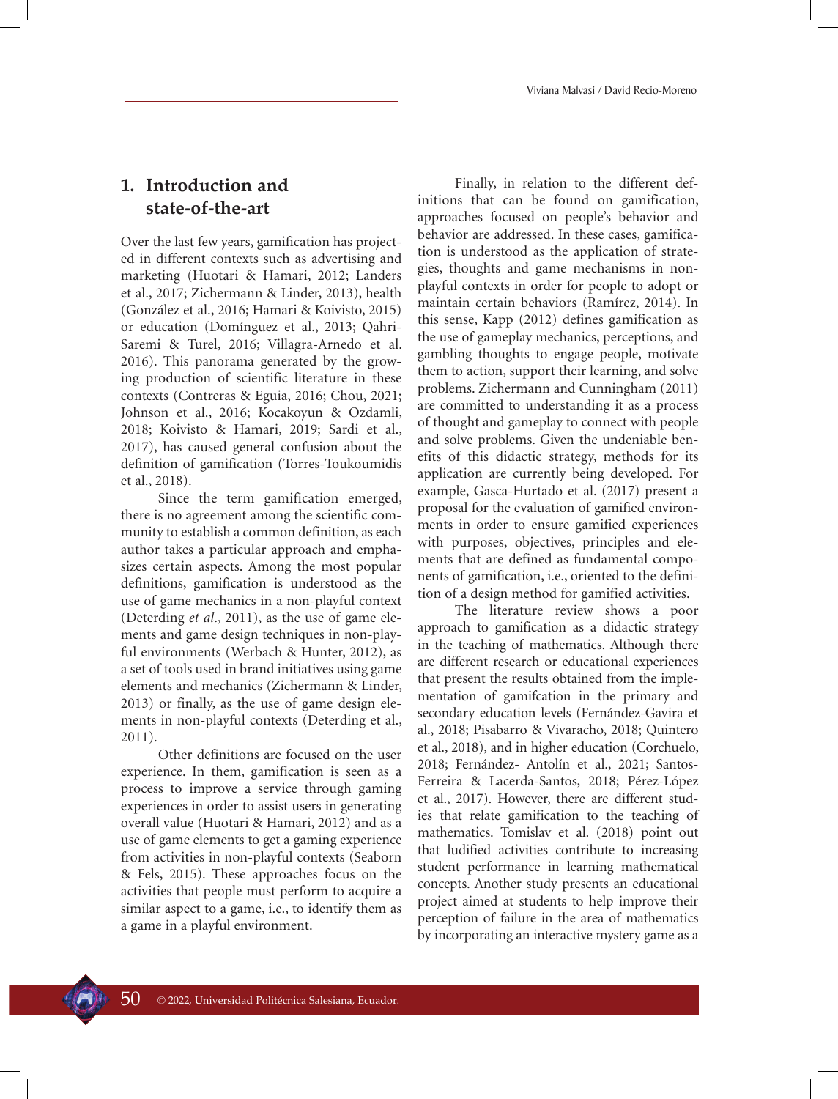# **1. Introduction and state-of-the-art**

Over the last few years, gamification has projected in different contexts such as advertising and marketing (Huotari & Hamari, 2012; Landers et al., 2017; Zichermann & Linder, 2013), health (González et al., 2016; Hamari & Koivisto, 2015) or education (Domínguez et al., 2013; Qahri-Saremi & Turel, 2016; Villagra-Arnedo et al. 2016). This panorama generated by the growing production of scientific literature in these contexts (Contreras & Eguia, 2016; Chou, 2021; Johnson et al., 2016; Kocakoyun & Ozdamli, 2018; Koivisto & Hamari, 2019; Sardi et al., 2017), has caused general confusion about the definition of gamification (Torres-Toukoumidis et al., 2018).

Since the term gamification emerged, there is no agreement among the scientific community to establish a common definition, as each author takes a particular approach and emphasizes certain aspects. Among the most popular definitions, gamification is understood as the use of game mechanics in a non-playful context (Deterding *et al*., 2011), as the use of game elements and game design techniques in non-playful environments (Werbach & Hunter, 2012), as a set of tools used in brand initiatives using game elements and mechanics (Zichermann & Linder, 2013) or finally, as the use of game design elements in non-playful contexts (Deterding et al., 2011).

Other definitions are focused on the user experience. In them, gamification is seen as a process to improve a service through gaming experiences in order to assist users in generating overall value (Huotari & Hamari, 2012) and as a use of game elements to get a gaming experience from activities in non-playful contexts (Seaborn & Fels, 2015). These approaches focus on the activities that people must perform to acquire a similar aspect to a game, i.e., to identify them as a game in a playful environment.

Finally, in relation to the different definitions that can be found on gamification, approaches focused on people's behavior and behavior are addressed. In these cases, gamification is understood as the application of strategies, thoughts and game mechanisms in nonplayful contexts in order for people to adopt or maintain certain behaviors (Ramírez, 2014). In this sense, Kapp (2012) defines gamification as the use of gameplay mechanics, perceptions, and gambling thoughts to engage people, motivate them to action, support their learning, and solve problems. Zichermann and Cunningham (2011) are committed to understanding it as a process of thought and gameplay to connect with people and solve problems. Given the undeniable benefits of this didactic strategy, methods for its application are currently being developed. For example, Gasca-Hurtado et al. (2017) present a proposal for the evaluation of gamified environments in order to ensure gamified experiences with purposes, objectives, principles and elements that are defined as fundamental components of gamification, i.e., oriented to the definition of a design method for gamified activities.

The literature review shows a poor approach to gamification as a didactic strategy in the teaching of mathematics. Although there are different research or educational experiences that present the results obtained from the implementation of gamifcation in the primary and secondary education levels (Fernández-Gavira et al., 2018; Pisabarro & Vivaracho, 2018; Quintero et al., 2018), and in higher education (Corchuelo, 2018; Fernández- Antolín et al., 2021; Santos-Ferreira & Lacerda-Santos, 2018; Pérez-López et al., 2017). However, there are different studies that relate gamification to the teaching of mathematics. Tomislav et al. (2018) point out that ludified activities contribute to increasing student performance in learning mathematical concepts. Another study presents an educational project aimed at students to help improve their perception of failure in the area of mathematics by incorporating an interactive mystery game as a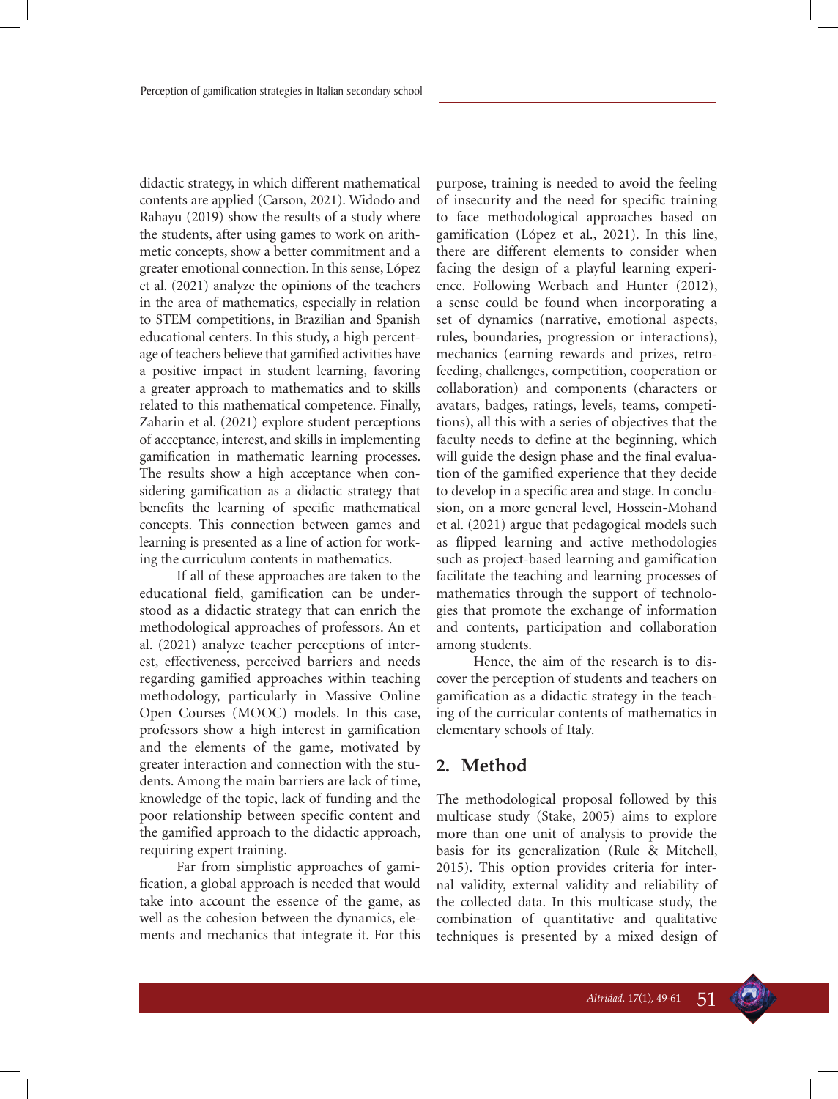didactic strategy, in which different mathematical contents are applied (Carson, 2021). Widodo and Rahayu (2019) show the results of a study where the students, after using games to work on arithmetic concepts, show a better commitment and a greater emotional connection. In this sense, López et al. (2021) analyze the opinions of the teachers in the area of mathematics, especially in relation to STEM competitions, in Brazilian and Spanish educational centers. In this study, a high percentage of teachers believe that gamified activities have a positive impact in student learning, favoring a greater approach to mathematics and to skills related to this mathematical competence. Finally, Zaharin et al. (2021) explore student perceptions of acceptance, interest, and skills in implementing gamification in mathematic learning processes. The results show a high acceptance when considering gamification as a didactic strategy that benefits the learning of specific mathematical concepts. This connection between games and learning is presented as a line of action for working the curriculum contents in mathematics.

If all of these approaches are taken to the educational field, gamification can be understood as a didactic strategy that can enrich the methodological approaches of professors. An et al. (2021) analyze teacher perceptions of interest, effectiveness, perceived barriers and needs regarding gamified approaches within teaching methodology, particularly in Massive Online Open Courses (MOOC) models. In this case, professors show a high interest in gamification and the elements of the game, motivated by greater interaction and connection with the students. Among the main barriers are lack of time, knowledge of the topic, lack of funding and the poor relationship between specific content and the gamified approach to the didactic approach, requiring expert training.

Far from simplistic approaches of gamification, a global approach is needed that would take into account the essence of the game, as well as the cohesion between the dynamics, elements and mechanics that integrate it. For this purpose, training is needed to avoid the feeling of insecurity and the need for specific training to face methodological approaches based on gamification (López et al., 2021). In this line, there are different elements to consider when facing the design of a playful learning experience. Following Werbach and Hunter (2012), a sense could be found when incorporating a set of dynamics (narrative, emotional aspects, rules, boundaries, progression or interactions), mechanics (earning rewards and prizes, retrofeeding, challenges, competition, cooperation or collaboration) and components (characters or avatars, badges, ratings, levels, teams, competitions), all this with a series of objectives that the faculty needs to define at the beginning, which will guide the design phase and the final evaluation of the gamified experience that they decide to develop in a specific area and stage. In conclusion, on a more general level, Hossein-Mohand et al. (2021) argue that pedagogical models such as flipped learning and active methodologies such as project-based learning and gamification facilitate the teaching and learning processes of mathematics through the support of technologies that promote the exchange of information and contents, participation and collaboration among students.

Hence, the aim of the research is to discover the perception of students and teachers on gamification as a didactic strategy in the teaching of the curricular contents of mathematics in elementary schools of Italy.

# **2. Method**

The methodological proposal followed by this multicase study (Stake, 2005) aims to explore more than one unit of analysis to provide the basis for its generalization (Rule & Mitchell, 2015). This option provides criteria for internal validity, external validity and reliability of the collected data. In this multicase study, the combination of quantitative and qualitative techniques is presented by a mixed design of

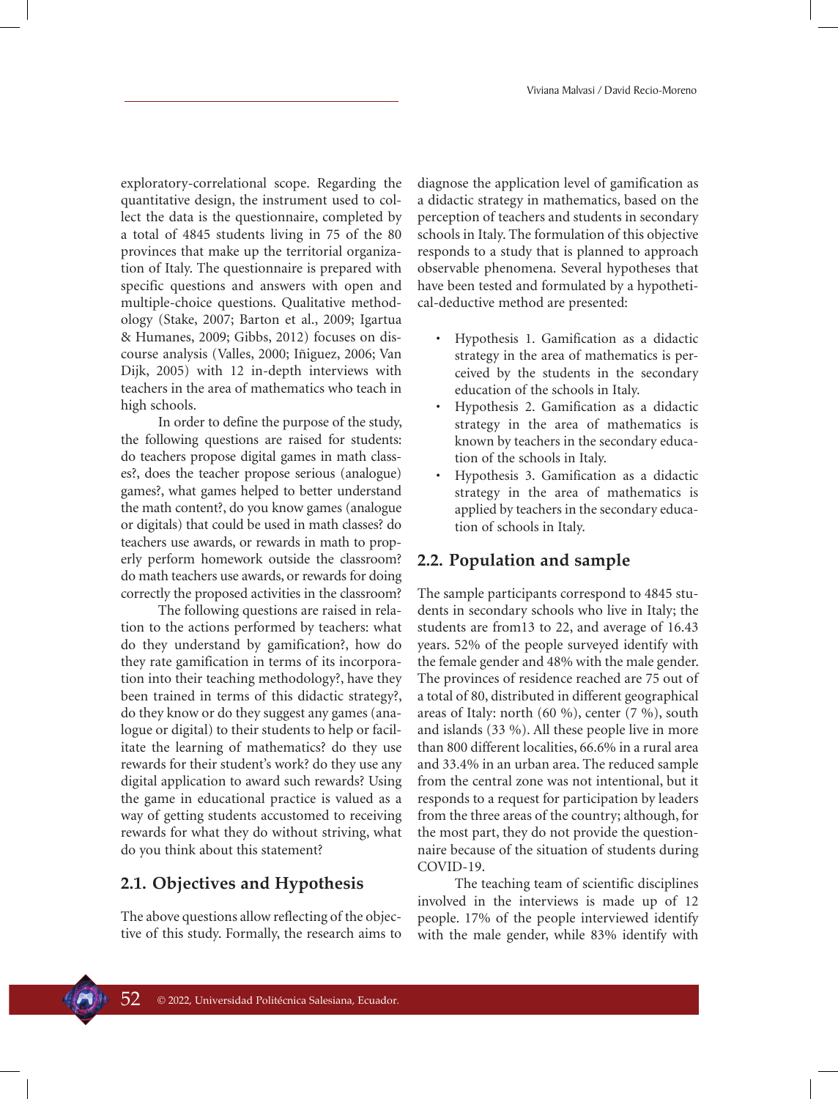exploratory-correlational scope. Regarding the quantitative design, the instrument used to collect the data is the questionnaire, completed by a total of 4845 students living in 75 of the 80 provinces that make up the territorial organization of Italy. The questionnaire is prepared with specific questions and answers with open and multiple-choice questions. Qualitative methodology (Stake, 2007; Barton et al., 2009; Igartua & Humanes, 2009; Gibbs, 2012) focuses on discourse analysis (Valles, 2000; Iñiguez, 2006; Van Dijk, 2005) with 12 in-depth interviews with teachers in the area of mathematics who teach in high schools.

In order to define the purpose of the study, the following questions are raised for students: do teachers propose digital games in math classes?, does the teacher propose serious (analogue) games?, what games helped to better understand the math content?, do you know games (analogue or digitals) that could be used in math classes? do teachers use awards, or rewards in math to properly perform homework outside the classroom? do math teachers use awards, or rewards for doing correctly the proposed activities in the classroom?

The following questions are raised in relation to the actions performed by teachers: what do they understand by gamification?, how do they rate gamification in terms of its incorporation into their teaching methodology?, have they been trained in terms of this didactic strategy?, do they know or do they suggest any games (analogue or digital) to their students to help or facilitate the learning of mathematics? do they use rewards for their student's work? do they use any digital application to award such rewards? Using the game in educational practice is valued as a way of getting students accustomed to receiving rewards for what they do without striving, what do you think about this statement?

#### **2.1. Objectives and Hypothesis**

The above questions allow reflecting of the objective of this study. Formally, the research aims to

diagnose the application level of gamification as a didactic strategy in mathematics, based on the perception of teachers and students in secondary schools in Italy. The formulation of this objective responds to a study that is planned to approach observable phenomena. Several hypotheses that have been tested and formulated by a hypothetical-deductive method are presented:

- Hypothesis 1. Gamification as a didactic strategy in the area of mathematics is perceived by the students in the secondary education of the schools in Italy.
- Hypothesis 2. Gamification as a didactic strategy in the area of mathematics is known by teachers in the secondary education of the schools in Italy.
- Hypothesis 3. Gamification as a didactic strategy in the area of mathematics is applied by teachers in the secondary education of schools in Italy.

### **2.2. Population and sample**

The sample participants correspond to 4845 students in secondary schools who live in Italy; the students are from13 to 22, and average of 16.43 years. 52% of the people surveyed identify with the female gender and 48% with the male gender. The provinces of residence reached are 75 out of a total of 80, distributed in different geographical areas of Italy: north (60 %), center (7 %), south and islands (33 %). All these people live in more than 800 different localities, 66.6% in a rural area and 33.4% in an urban area. The reduced sample from the central zone was not intentional, but it responds to a request for participation by leaders from the three areas of the country; although, for the most part, they do not provide the questionnaire because of the situation of students during COVID-19.

The teaching team of scientific disciplines involved in the interviews is made up of 12 people. 17% of the people interviewed identify with the male gender, while 83% identify with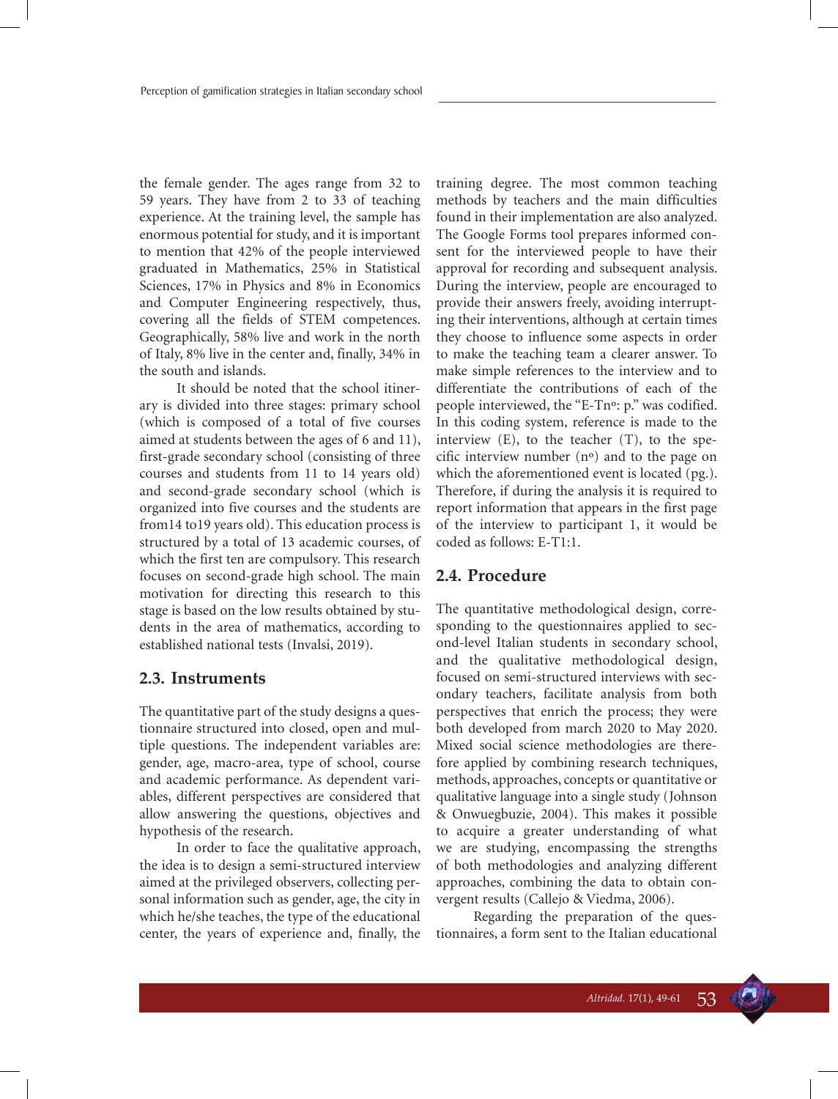the female gender. The ages range from 32 to 59 years. They have from 2 to 33 of teaching experience. At the training level, the sample has enormous potential for study, and it is important to mention that 42% of the people interviewed graduated in Mathematics, 25% in Statistical Sciences, 17% in Physics and 8% in Economics and Computer Engineering respectively, thus, covering all the fields of STEM competences. Geographically, 58% live and work in the north of Italy, 8% live in the center and, finally, 34% in the south and islands.

It should be noted that the school itinerary is divided into three stages: primary school (which is composed of a total of five courses aimed at students between the ages of 6 and 11), first-grade secondary school (consisting of three courses and students from 11 to 14 years old) and second-grade secondary school (which is organized into five courses and the students are from14 to19 years old). This education process is structured by a total of 13 academic courses, of which the first ten are compulsory. This research focuses on second-grade high school. The main motivation for directing this research to this stage is based on the low results obtained by students in the area of mathematics, according to established national tests (Invalsi, 2019).

#### **2.3. Instruments**

The quantitative part of the study designs a questionnaire structured into closed, open and multiple questions. The independent variables are: gender, age, macro-area, type of school, course and academic performance. As dependent variables, different perspectives are considered that allow answering the questions, objectives and hypothesis of the research.

In order to face the qualitative approach, the idea is to design a semi-structured interview aimed at the privileged observers, collecting personal information such as gender, age, the city in which he/she teaches, the type of the educational center, the years of experience and, finally, the training degree. The most common teaching methods by teachers and the main difficulties found in their implementation are also analyzed. The Google Forms tool prepares informed consent for the interviewed people to have their approval for recording and subsequent analysis. During the interview, people are encouraged to provide their answers freely, avoiding interrupting their interventions, although at certain times they choose to influence some aspects in order to make the teaching team a clearer answer. To make simple references to the interview and to differentiate the contributions of each of the people interviewed, the "E-Tnº: p." was codified. In this coding system, reference is made to the interview (E), to the teacher (T), to the specific interview number (nº) and to the page on which the aforementioned event is located (pg.). Therefore, if during the analysis it is required to report information that appears in the first page of the interview to participant 1, it would be coded as follows: E-T1:1.

#### **2.4. Procedure**

The quantitative methodological design, corresponding to the questionnaires applied to second-level Italian students in secondary school, and the qualitative methodological design, focused on semi-structured interviews with secondary teachers, facilitate analysis from both perspectives that enrich the process; they were both developed from march 2020 to May 2020. Mixed social science methodologies are therefore applied by combining research techniques, methods, approaches, concepts or quantitative or qualitative language into a single study (Johnson & Onwuegbuzie, 2004). This makes it possible to acquire a greater understanding of what we are studying, encompassing the strengths of both methodologies and analyzing different approaches, combining the data to obtain convergent results (Callejo & Viedma, 2006).

Regarding the preparation of the questionnaires, a form sent to the Italian educational

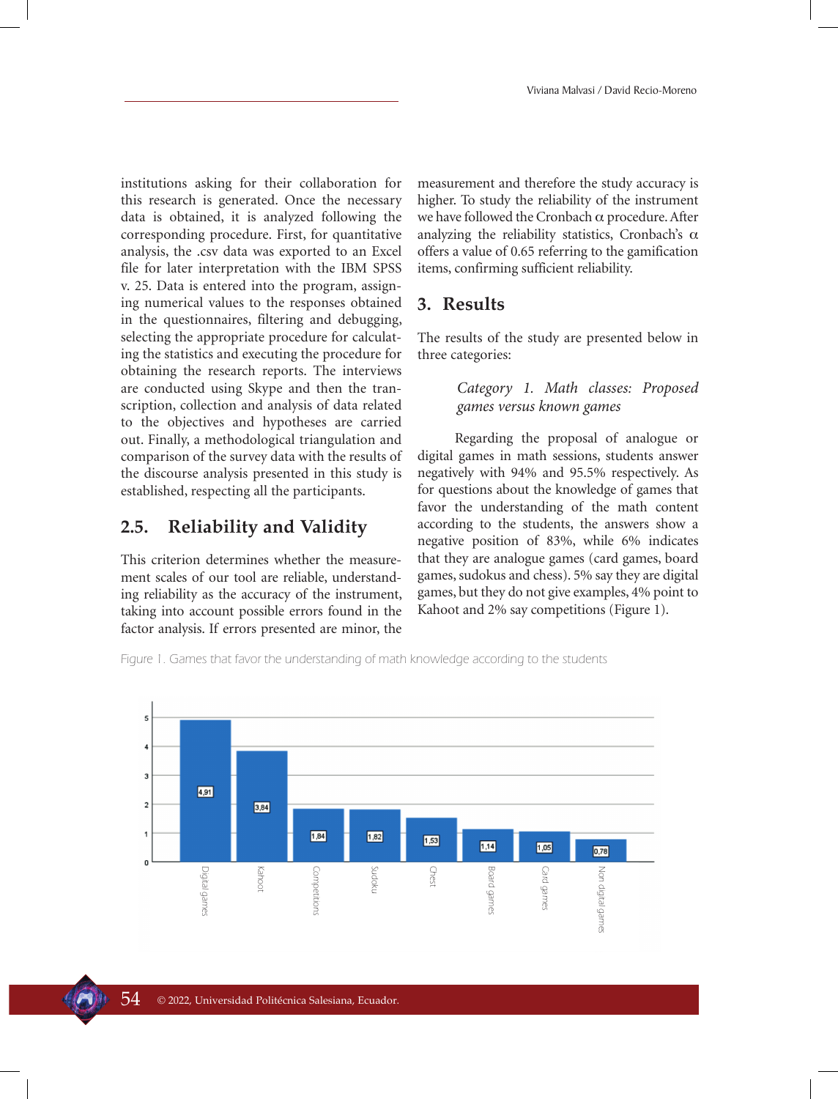institutions asking for their collaboration for this research is generated. Once the necessary data is obtained, it is analyzed following the corresponding procedure. First, for quantitative analysis, the .csv data was exported to an Excel file for later interpretation with the IBM SPSS v. 25. Data is entered into the program, assigning numerical values to the responses obtained in the questionnaires, filtering and debugging, selecting the appropriate procedure for calculating the statistics and executing the procedure for obtaining the research reports. The interviews are conducted using Skype and then the transcription, collection and analysis of data related to the objectives and hypotheses are carried out. Finally, a methodological triangulation and comparison of the survey data with the results of the discourse analysis presented in this study is established, respecting all the participants.

## **2.5. Reliability and Validity**

This criterion determines whether the measurement scales of our tool are reliable, understanding reliability as the accuracy of the instrument, taking into account possible errors found in the factor analysis. If errors presented are minor, the

measurement and therefore the study accuracy is higher. To study the reliability of the instrument we have followed the Cronbach  $\alpha$  procedure. After analyzing the reliability statistics, Cronbach's  $\alpha$ offers a value of 0.65 referring to the gamification items, confirming sufficient reliability.

# **3. Results**

The results of the study are presented below in three categories:

#### *Category 1. Math classes: Proposed games versus known games*

Regarding the proposal of analogue or digital games in math sessions, students answer negatively with 94% and 95.5% respectively. As for questions about the knowledge of games that favor the understanding of the math content according to the students, the answers show a negative position of 83%, while 6% indicates that they are analogue games (card games, board games, sudokus and chess). 5% say they are digital games, but they do not give examples, 4% point to Kahoot and 2% say competitions (Figure 1).

Figure 1. Games that favor the understanding of math knowledge according to the students

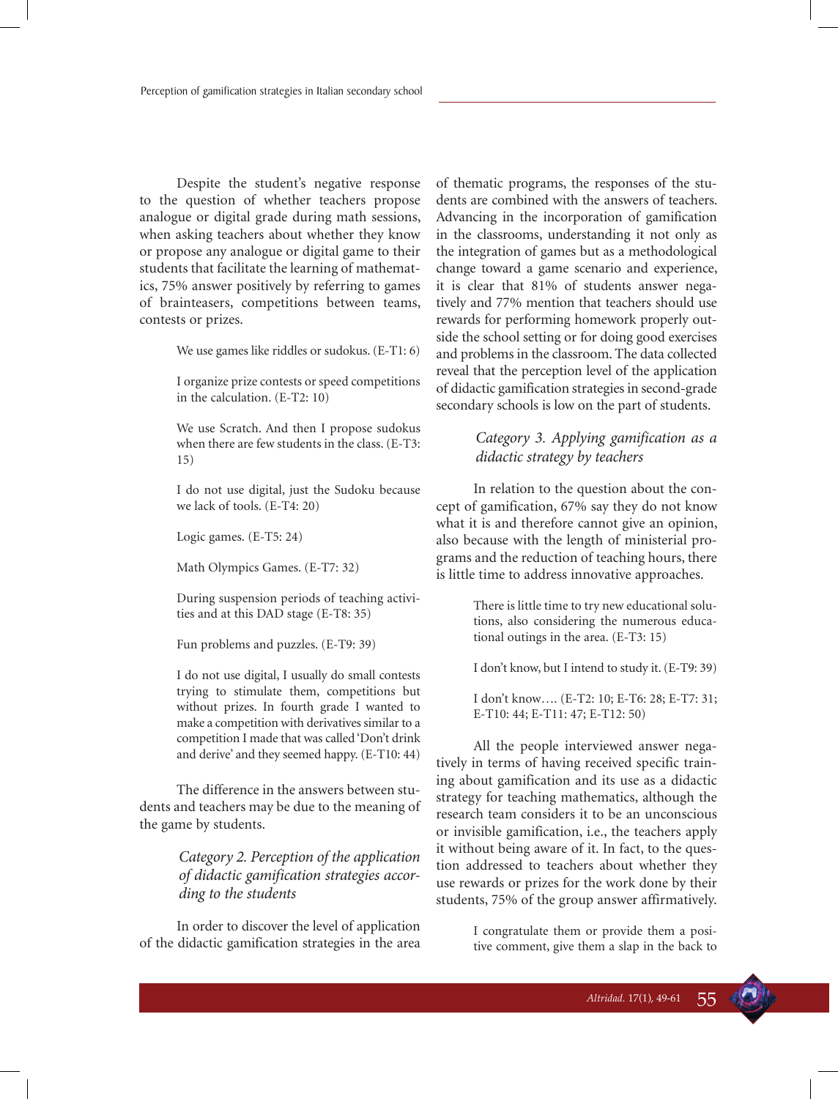Despite the student's negative response to the question of whether teachers propose analogue or digital grade during math sessions, when asking teachers about whether they know or propose any analogue or digital game to their students that facilitate the learning of mathematics, 75% answer positively by referring to games of brainteasers, competitions between teams, contests or prizes.

We use games like riddles or sudokus. (E-T1: 6)

I organize prize contests or speed competitions in the calculation. (E-T2: 10)

We use Scratch. And then I propose sudokus when there are few students in the class. (E-T3: 15)

I do not use digital, just the Sudoku because we lack of tools. (E-T4: 20)

Logic games. (E-T5: 24)

Math Olympics Games. (E-T7: 32)

During suspension periods of teaching activities and at this DAD stage (E-T8: 35)

Fun problems and puzzles. (E-T9: 39)

I do not use digital, I usually do small contests trying to stimulate them, competitions but without prizes. In fourth grade I wanted to make a competition with derivatives similar to a competition I made that was called 'Don't drink and derive' and they seemed happy. (E-T10: 44)

The difference in the answers between students and teachers may be due to the meaning of the game by students.

> *Category 2. Perception of the application of didactic gamification strategies according to the students*

In order to discover the level of application of the didactic gamification strategies in the area of thematic programs, the responses of the students are combined with the answers of teachers. Advancing in the incorporation of gamification in the classrooms, understanding it not only as the integration of games but as a methodological change toward a game scenario and experience, it is clear that 81% of students answer negatively and 77% mention that teachers should use rewards for performing homework properly outside the school setting or for doing good exercises and problems in the classroom. The data collected reveal that the perception level of the application of didactic gamification strategies in second-grade secondary schools is low on the part of students.

#### *Category 3. Applying gamification as a didactic strategy by teachers*

In relation to the question about the concept of gamification, 67% say they do not know what it is and therefore cannot give an opinion, also because with the length of ministerial programs and the reduction of teaching hours, there is little time to address innovative approaches.

> There is little time to try new educational solutions, also considering the numerous educational outings in the area. (E-T3: 15)

> I don't know, but I intend to study it. (E-T9: 39)

I don't know…. (E-T2: 10; E-T6: 28; E-T7: 31; E-T10: 44; E-T11: 47; E-T12: 50)

All the people interviewed answer negatively in terms of having received specific training about gamification and its use as a didactic strategy for teaching mathematics, although the research team considers it to be an unconscious or invisible gamification, i.e., the teachers apply it without being aware of it. In fact, to the question addressed to teachers about whether they use rewards or prizes for the work done by their students, 75% of the group answer affirmatively.

> I congratulate them or provide them a positive comment, give them a slap in the back to

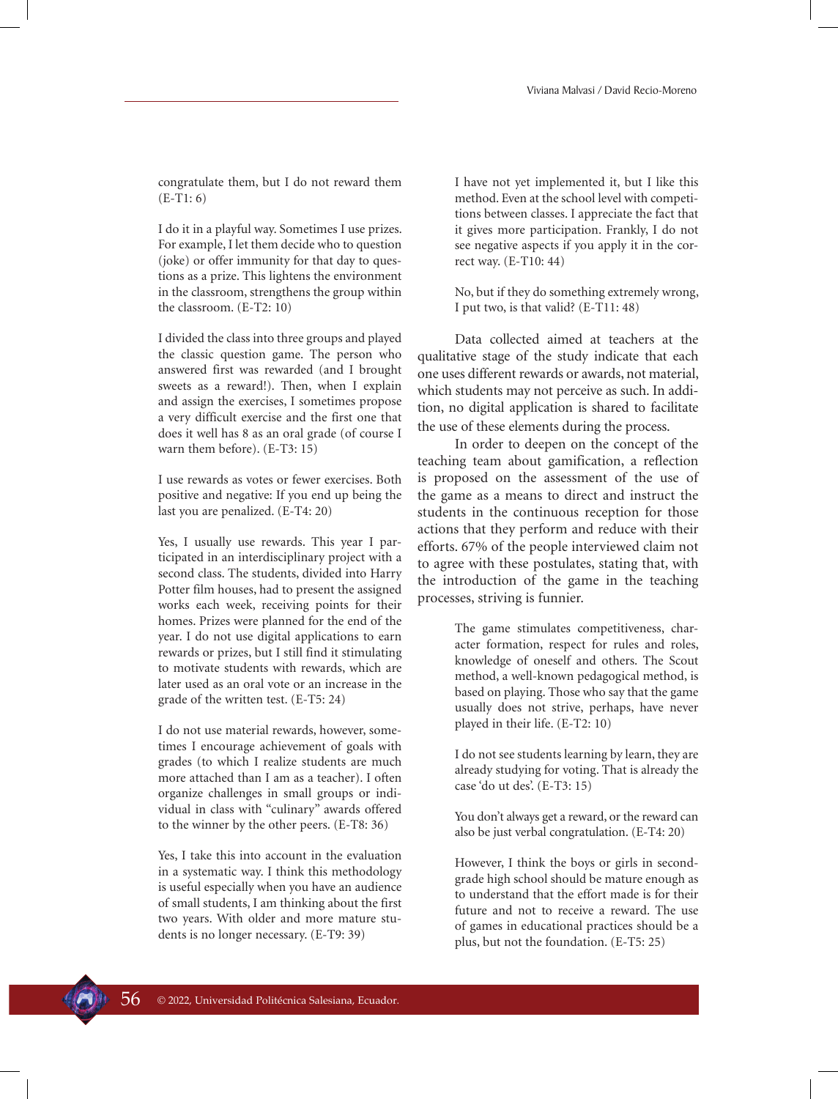congratulate them, but I do not reward them  $(E-T1: 6)$ 

I do it in a playful way. Sometimes I use prizes. For example, I let them decide who to question (joke) or offer immunity for that day to questions as a prize. This lightens the environment in the classroom, strengthens the group within the classroom. (E-T2: 10)

I divided the class into three groups and played the classic question game. The person who answered first was rewarded (and I brought sweets as a reward!). Then, when I explain and assign the exercises, I sometimes propose a very difficult exercise and the first one that does it well has 8 as an oral grade (of course I warn them before). (E-T3: 15)

I use rewards as votes or fewer exercises. Both positive and negative: If you end up being the last you are penalized. (E-T4: 20)

Yes, I usually use rewards. This year I participated in an interdisciplinary project with a second class. The students, divided into Harry Potter film houses, had to present the assigned works each week, receiving points for their homes. Prizes were planned for the end of the year. I do not use digital applications to earn rewards or prizes, but I still find it stimulating to motivate students with rewards, which are later used as an oral vote or an increase in the grade of the written test. (E-T5: 24)

I do not use material rewards, however, sometimes I encourage achievement of goals with grades (to which I realize students are much more attached than I am as a teacher). I often organize challenges in small groups or individual in class with "culinary" awards offered to the winner by the other peers. (E-T8: 36)

Yes, I take this into account in the evaluation in a systematic way. I think this methodology is useful especially when you have an audience of small students, I am thinking about the first two years. With older and more mature students is no longer necessary. (E-T9: 39)

I have not yet implemented it, but I like this method. Even at the school level with competitions between classes. I appreciate the fact that it gives more participation. Frankly, I do not see negative aspects if you apply it in the correct way. (E-T10: 44)

No, but if they do something extremely wrong, I put two, is that valid? (E-T11: 48)

Data collected aimed at teachers at the qualitative stage of the study indicate that each one uses different rewards or awards, not material, which students may not perceive as such. In addition, no digital application is shared to facilitate the use of these elements during the process.

In order to deepen on the concept of the teaching team about gamification, a reflection is proposed on the assessment of the use of the game as a means to direct and instruct the students in the continuous reception for those actions that they perform and reduce with their efforts. 67% of the people interviewed claim not to agree with these postulates, stating that, with the introduction of the game in the teaching processes, striving is funnier.

> The game stimulates competitiveness, character formation, respect for rules and roles, knowledge of oneself and others. The Scout method, a well-known pedagogical method, is based on playing. Those who say that the game usually does not strive, perhaps, have never played in their life. (E-T2: 10)

> I do not see students learning by learn, they are already studying for voting. That is already the case 'do ut des'. (E-T3: 15)

> You don't always get a reward, or the reward can also be just verbal congratulation. (E-T4: 20)

> However, I think the boys or girls in secondgrade high school should be mature enough as to understand that the effort made is for their future and not to receive a reward. The use of games in educational practices should be a plus, but not the foundation. (E-T5: 25)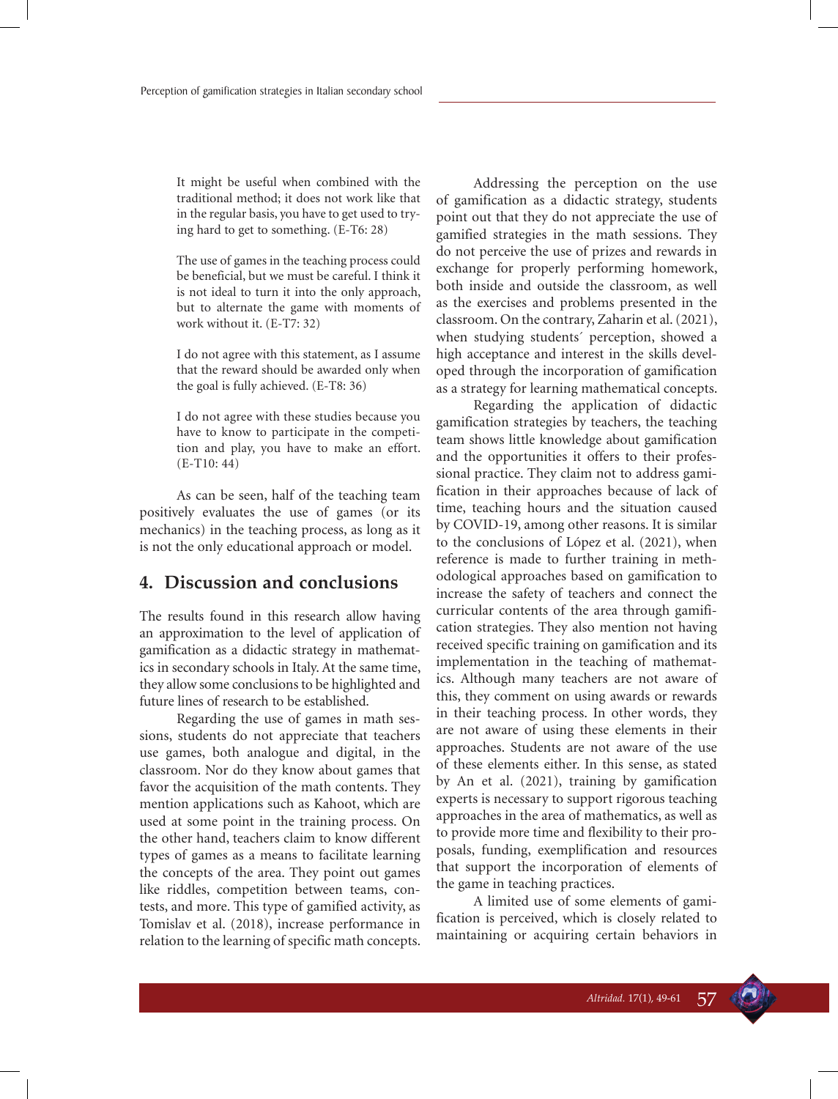It might be useful when combined with the traditional method; it does not work like that in the regular basis, you have to get used to trying hard to get to something. (E-T6: 28)

The use of games in the teaching process could be beneficial, but we must be careful. I think it is not ideal to turn it into the only approach, but to alternate the game with moments of work without it. (E-T7: 32)

I do not agree with this statement, as I assume that the reward should be awarded only when the goal is fully achieved. (E-T8: 36)

I do not agree with these studies because you have to know to participate in the competition and play, you have to make an effort. (E-T10: 44)

As can be seen, half of the teaching team positively evaluates the use of games (or its mechanics) in the teaching process, as long as it is not the only educational approach or model.

### **4. Discussion and conclusions**

The results found in this research allow having an approximation to the level of application of gamification as a didactic strategy in mathematics in secondary schools in Italy. At the same time, they allow some conclusions to be highlighted and future lines of research to be established.

Regarding the use of games in math sessions, students do not appreciate that teachers use games, both analogue and digital, in the classroom. Nor do they know about games that favor the acquisition of the math contents. They mention applications such as Kahoot, which are used at some point in the training process. On the other hand, teachers claim to know different types of games as a means to facilitate learning the concepts of the area. They point out games like riddles, competition between teams, contests, and more. This type of gamified activity, as Tomislav et al. (2018), increase performance in relation to the learning of specific math concepts.

Addressing the perception on the use of gamification as a didactic strategy, students point out that they do not appreciate the use of gamified strategies in the math sessions. They do not perceive the use of prizes and rewards in exchange for properly performing homework, both inside and outside the classroom, as well as the exercises and problems presented in the classroom. On the contrary, Zaharin et al. (2021), when studying students´ perception, showed a high acceptance and interest in the skills developed through the incorporation of gamification as a strategy for learning mathematical concepts.

Regarding the application of didactic gamification strategies by teachers, the teaching team shows little knowledge about gamification and the opportunities it offers to their professional practice. They claim not to address gamification in their approaches because of lack of time, teaching hours and the situation caused by COVID-19, among other reasons. It is similar to the conclusions of López et al. (2021), when reference is made to further training in methodological approaches based on gamification to increase the safety of teachers and connect the curricular contents of the area through gamification strategies. They also mention not having received specific training on gamification and its implementation in the teaching of mathematics. Although many teachers are not aware of this, they comment on using awards or rewards in their teaching process. In other words, they are not aware of using these elements in their approaches. Students are not aware of the use of these elements either. In this sense, as stated by An et al. (2021), training by gamification experts is necessary to support rigorous teaching approaches in the area of mathematics, as well as to provide more time and flexibility to their proposals, funding, exemplification and resources that support the incorporation of elements of the game in teaching practices.

A limited use of some elements of gamification is perceived, which is closely related to maintaining or acquiring certain behaviors in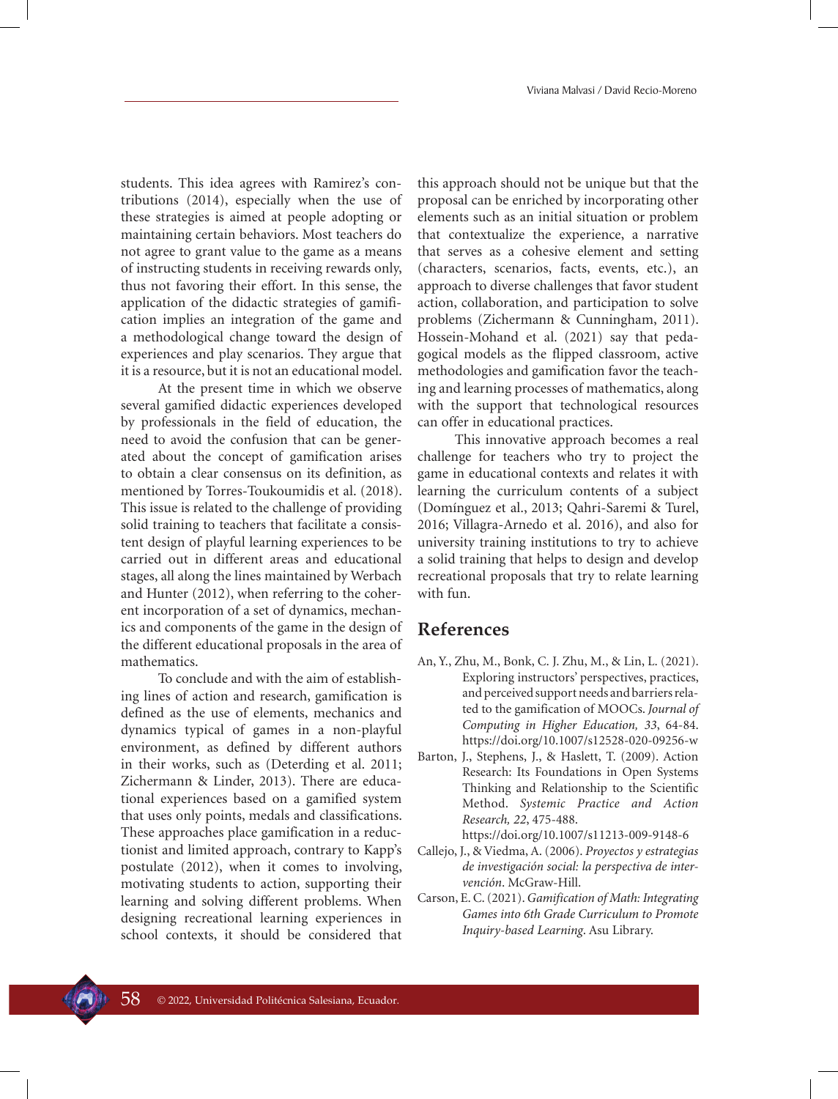students. This idea agrees with Ramirez's contributions (2014), especially when the use of these strategies is aimed at people adopting or maintaining certain behaviors. Most teachers do not agree to grant value to the game as a means of instructing students in receiving rewards only, thus not favoring their effort. In this sense, the application of the didactic strategies of gamification implies an integration of the game and a methodological change toward the design of experiences and play scenarios. They argue that it is a resource, but it is not an educational model.

At the present time in which we observe several gamified didactic experiences developed by professionals in the field of education, the need to avoid the confusion that can be generated about the concept of gamification arises to obtain a clear consensus on its definition, as mentioned by Torres-Toukoumidis et al. (2018). This issue is related to the challenge of providing solid training to teachers that facilitate a consistent design of playful learning experiences to be carried out in different areas and educational stages, all along the lines maintained by Werbach and Hunter (2012), when referring to the coherent incorporation of a set of dynamics, mechanics and components of the game in the design of the different educational proposals in the area of mathematics.

To conclude and with the aim of establishing lines of action and research, gamification is defined as the use of elements, mechanics and dynamics typical of games in a non-playful environment, as defined by different authors in their works, such as (Deterding et al. 2011; Zichermann & Linder, 2013). There are educational experiences based on a gamified system that uses only points, medals and classifications. These approaches place gamification in a reductionist and limited approach, contrary to Kapp's postulate (2012), when it comes to involving, motivating students to action, supporting their learning and solving different problems. When designing recreational learning experiences in school contexts, it should be considered that

this approach should not be unique but that the proposal can be enriched by incorporating other elements such as an initial situation or problem that contextualize the experience, a narrative that serves as a cohesive element and setting (characters, scenarios, facts, events, etc.), an approach to diverse challenges that favor student action, collaboration, and participation to solve problems (Zichermann & Cunningham, 2011). Hossein-Mohand et al. (2021) say that pedagogical models as the flipped classroom, active methodologies and gamification favor the teaching and learning processes of mathematics, along with the support that technological resources can offer in educational practices.

This innovative approach becomes a real challenge for teachers who try to project the game in educational contexts and relates it with learning the curriculum contents of a subject (Domínguez et al., 2013; Qahri-Saremi & Turel, 2016; Villagra-Arnedo et al. 2016), and also for university training institutions to try to achieve a solid training that helps to design and develop recreational proposals that try to relate learning with fun.

### **References**

- An, Y., Zhu, M., Bonk, C. J. Zhu, M., & Lin, L. (2021). Exploring instructors' perspectives, practices, and perceived support needs and barriers related to the gamification of MOOCs. *Journal of Computing in Higher Education, 33*, 64-84. https://doi.org/10.1007/s12528-020-09256-w
- Barton, J., Stephens, J., & Haslett, T. (2009). Action Research: Its Foundations in Open Systems Thinking and Relationship to the Scientific Method. *Systemic Practice and Action Research, 22*, 475-488.
- https://doi.org/10.1007/s11213-009-9148-6 Callejo, J., & Viedma, A. (2006). *Proyectos y estrategias de investigación social: la perspectiva de intervención*. McGraw-Hill.
- Carson, E. C. (2021). *Gamification of Math: Integrating Games into 6th Grade Curriculum to Promote Inquiry-based Learning*. Asu Library.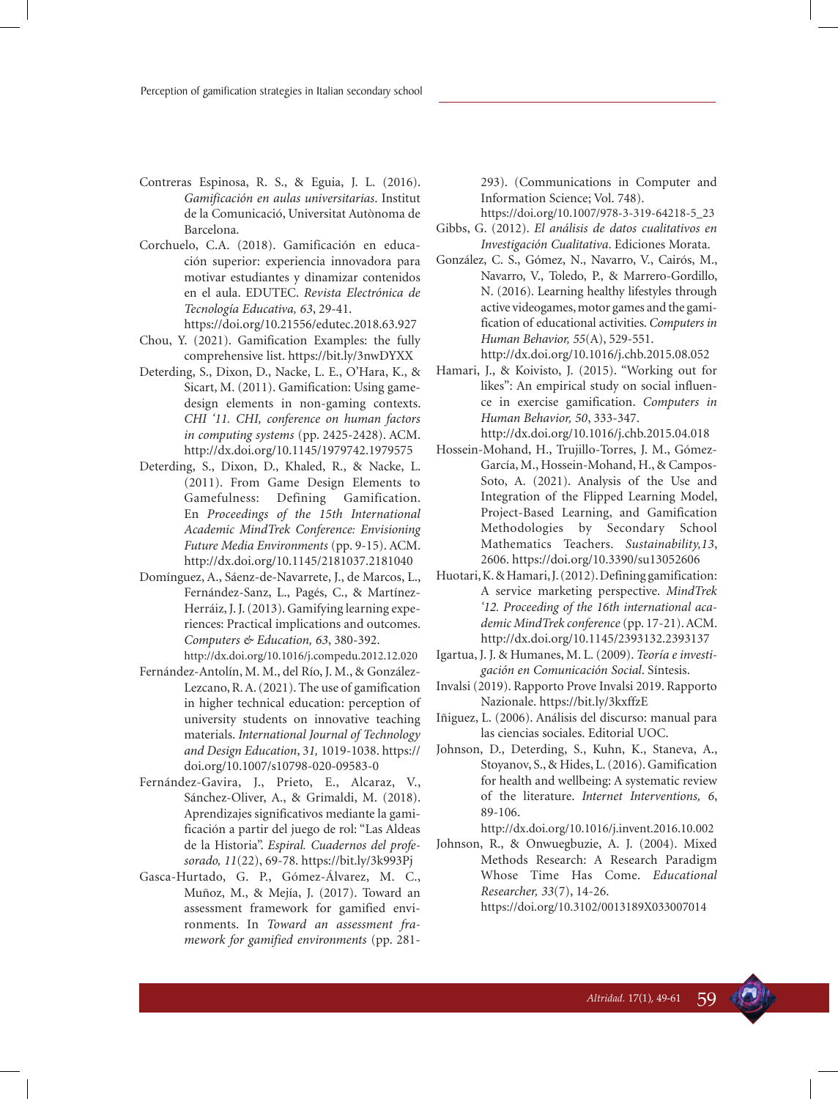- Contreras Espinosa, R. S., & Eguia, J. L. (2016). *Gamificación en aulas universitarias*. Institut de la Comunicació, Universitat Autònoma de Barcelona.
- Corchuelo, C.A. (2018). Gamificación en educación superior: experiencia innovadora para motivar estudiantes y dinamizar contenidos en el aula. EDUTEC. *Revista Electrónica de Tecnología Educativa, 63*, 29-41. https://doi.org/10.21556/edutec.2018.63.927
- Chou, Y. (2021). Gamification Examples: the fully comprehensive list. https://bit.ly/3nwDYXX
- Deterding, S., Dixon, D., Nacke, L. E., O'Hara, K., & Sicart, M. (2011). Gamification: Using gamedesign elements in non-gaming contexts. *CHI '11. CHI, conference on human factors in computing systems* (pp. 2425-2428). ACM. http://dx.doi.org/10.1145/1979742.1979575
- Deterding, S., Dixon, D., Khaled, R., & Nacke, L. (2011). From Game Design Elements to Gamefulness: Defining Gamification. En *Proceedings of the 15th International Academic MindTrek Conference: Envisioning Future Media Environments* (pp. 9-15). ACM. http://dx.doi.org/10.1145/2181037.2181040
- Domínguez, A., Sáenz-de-Navarrete, J., de Marcos, L., Fernández-Sanz, L., Pagés, C., & Martínez-Herráiz, J. J. (2013). Gamifying learning experiences: Practical implications and outcomes. *Computers & Education, 63*, 380-392.
- http://dx.doi.org/10.1016/j.compedu.2012.12.020 Fernández-Antolín, M. M., del Río, J. M., & González-Lezcano, R. A. (2021). The use of gamification in higher technical education: perception of university students on innovative teaching materials. *International Journal of Technology and Design Education*, 3*1,* 1019-1038. https:// doi.org/10.1007/s10798-020-09583-0
- Fernández-Gavira, J., Prieto, E., Alcaraz, V., Sánchez-Oliver, A., & Grimaldi, M. (2018). Aprendizajes significativos mediante la gamificación a partir del juego de rol: "Las Aldeas de la Historia". *Espiral. Cuadernos del profesorado, 11*(22), 69-78. https://bit.ly/3k993Pj
- Gasca-Hurtado, G. P., Gómez-Álvarez, M. C., Muñoz, M., & Mejía, J. (2017). Toward an assessment framework for gamified environments. In *Toward an assessment framework for gamified environments* (pp. 281-

293). (Communications in Computer and Information Science; Vol. 748).

https://doi.org/10.1007/978-3-319-64218-5\_23

- Gibbs, G. (2012). *El análisis de datos cualitativos en Investigación Cualitativa*. Ediciones Morata.
- González, C. S., Gómez, N., Navarro, V., Cairós, M., Navarro, V., Toledo, P., & Marrero-Gordillo, N. (2016). Learning healthy lifestyles through active videogames, motor games and the gamification of educational activities. *Computers in Human Behavior, 55*(A), 529-551.
	- http://dx.doi.org/10.1016/j.chb.2015.08.052
- Hamari, J., & Koivisto, J. (2015). "Working out for likes": An empirical study on social influence in exercise gamification. *Computers in Human Behavior, 50*, 333-347. http://dx.doi.org/10.1016/j.chb.2015.04.018
- Hossein-Mohand, H., Trujillo-Torres, J. M., Gómez-García, M., Hossein-Mohand, H., & Campos-Soto, A. (2021). Analysis of the Use and Integration of the Flipped Learning Model, Project-Based Learning, and Gamification Methodologies by Secondary School Mathematics Teachers. *Sustainability,13*, 2606. https://doi.org/10.3390/su13052606
- Huotari, K. & Hamari, J. (2012). Defining gamification: A service marketing perspective. *MindTrek '12. Proceeding of the 16th international academic MindTrek conference* (pp. 17-21). ACM. http://dx.doi.org/10.1145/2393132.2393137
- Igartua, J. J. & Humanes, M. L. (2009). *Teoría e investigación en Comunicación Social*. Síntesis.
- Invalsi (2019). Rapporto Prove Invalsi 2019. Rapporto Nazionale. https://bit.ly/3kxffzE
- Iñiguez, L. (2006). Análisis del discurso: manual para las ciencias sociales. Editorial UOC.
- Johnson, D., Deterding, S., Kuhn, K., Staneva, A., Stoyanov, S., & Hides, L. (2016). Gamification for health and wellbeing: A systematic review of the literature. *Internet Interventions, 6*, 89-106.

http://dx.doi.org/10.1016/j.invent.2016.10.002

Johnson, R., & Onwuegbuzie, A. J. (2004). Mixed Methods Research: A Research Paradigm Whose Time Has Come. *Educational Researcher, 33*(7), 14-26. https://doi.org/10.3102/0013189X033007014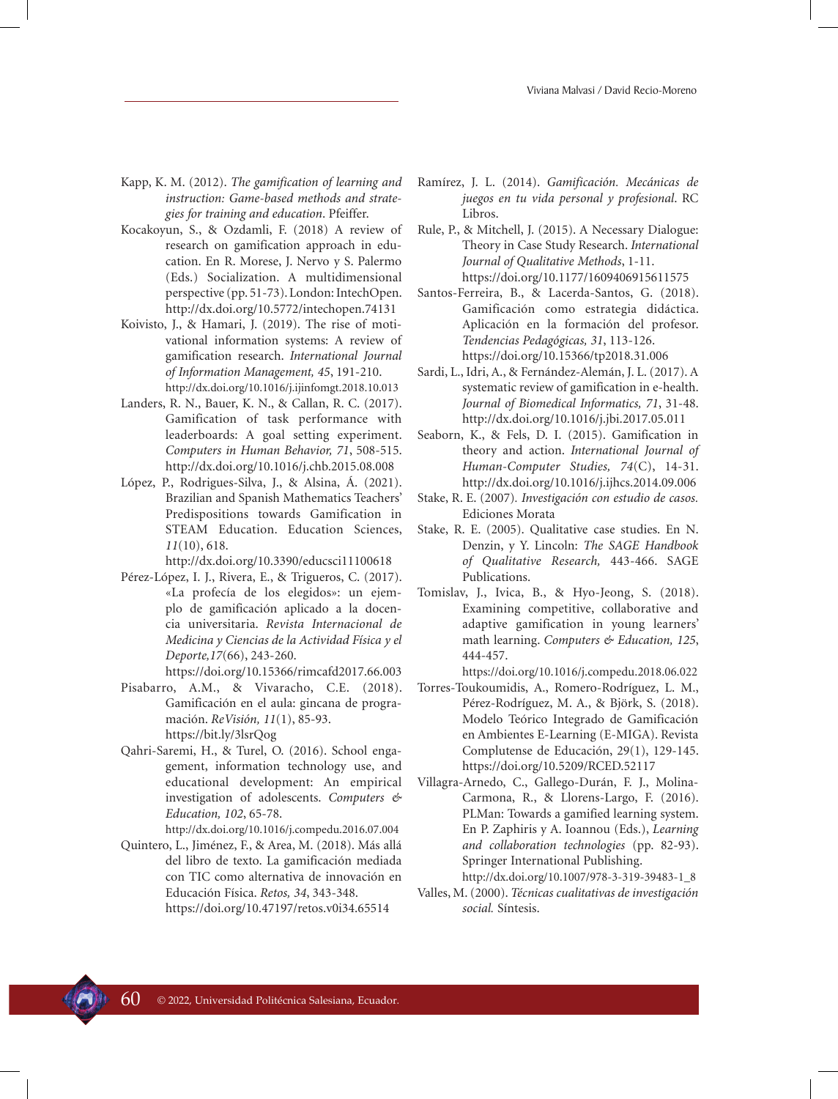- Kapp, K. M. (2012). *The gamification of learning and instruction: Game-based methods and strategies for training and education*. Pfeiffer.
- Kocakoyun, S., & Ozdamli, F. (2018) A review of research on gamification approach in education. En R. Morese, J. Nervo y S. Palermo (Eds.) Socialization. A multidimensional perspective (pp. 51-73). London: IntechOpen. http://dx.doi.org/10.5772/intechopen.74131
- Koivisto, J., & Hamari, J. (2019). The rise of motivational information systems: A review of gamification research. *International Journal of Information Management, 45*, 191-210. http://dx.doi.org/10.1016/j.ijinfomgt.2018.10.013
- Landers, R. N., Bauer, K. N., & Callan, R. C. (2017). Gamification of task performance with leaderboards: A goal setting experiment. *Computers in Human Behavior, 71*, 508-515. http://dx.doi.org/10.1016/j.chb.2015.08.008
- López, P., Rodrigues-Silva, J., & Alsina, Á. (2021). Brazilian and Spanish Mathematics Teachers' Predispositions towards Gamification in STEAM Education. Education Sciences, *11*(10), 618.

http://dx.doi.org/10.3390/educsci11100618

Pérez-López, I. J., Rivera, E., & Trigueros, C. (2017). «La profecía de los elegidos»: un ejemplo de gamificación aplicado a la docencia universitaria. *Revista Internacional de Medicina y Ciencias de la Actividad Física y el Deporte,17*(66), 243-260.

https://doi.org/10.15366/rimcafd2017.66.003

- Pisabarro, A.M., & Vivaracho, C.E. (2018). Gamificación en el aula: gincana de programación. *ReVisión, 11*(1), 85-93. https://bit.ly/3lsrQog
- Qahri-Saremi, H., & Turel, O. (2016). School engagement, information technology use, and educational development: An empirical investigation of adolescents. *Computers & Education, 102*, 65-78. http://dx.doi.org/10.1016/j.compedu.2016.07.004
- Quintero, L., Jiménez, F., & Area, M. (2018). Más allá del libro de texto. La gamificación mediada con TIC como alternativa de innovación en Educación Física. *Retos, 34*, 343-348. https://doi.org/10.47197/retos.v0i34.65514
- Ramírez, J. L. (2014). *Gamificación. Mecánicas de juegos en tu vida personal y profesional*. RC Libros.
- Rule, P., & Mitchell, J. (2015). A Necessary Dialogue: Theory in Case Study Research. *International Journal of Qualitative Methods*, 1-11. https://doi.org/10.1177/1609406915611575
- Santos-Ferreira, B., & Lacerda-Santos, G. (2018). Gamificación como estrategia didáctica. Aplicación en la formación del profesor. *Tendencias Pedagógicas, 31*, 113-126. https://doi.org/10.15366/tp2018.31.006
- Sardi, L., Idri, A., & Fernández-Alemán, J. L. (2017). A systematic review of gamification in e-health. *Journal of Biomedical Informatics, 71*, 31-48. http://dx.doi.org/10.1016/j.jbi.2017.05.011
- Seaborn, K., & Fels, D. I. (2015). Gamification in theory and action. *International Journal of Human-Computer Studies, 74*(C), 14-31. http://dx.doi.org/10.1016/j.ijhcs.2014.09.006
- Stake, R. E. (2007)*. Investigación con estudio de casos.*  Ediciones Morata
- Stake, R. E. (2005). Qualitative case studies. En N. Denzin, y Y. Lincoln: *The SAGE Handbook of Qualitative Research,* 443-466. SAGE Publications.
- Tomislav, J., Ivica, B., & Hyo-Jeong, S. (2018). Examining competitive, collaborative and adaptive gamification in young learners' math learning. *Computers & Education, 125*, 444-457.

https://doi.org/10.1016/j.compedu.2018.06.022

- Torres-Toukoumidis, A., Romero-Rodríguez, L. M., Pérez-Rodríguez, M. A., & Björk, S. (2018). Modelo Teórico Integrado de Gamificación en Ambientes E-Learning (E-MIGA). Revista Complutense de Educación, 29(1), 129-145. https://doi.org/10.5209/RCED.52117
- Villagra-Arnedo, C., Gallego-Durán, F. J., Molina-Carmona, R., & Llorens-Largo, F. (2016). PLMan: Towards a gamified learning system. En P. Zaphiris y A. Ioannou (Eds.), *Learning and collaboration technologies* (pp. 82-93). Springer International Publishing.

http://dx.doi.org/10.1007/978-3-319-39483-1\_8 Valles, M. (2000). *Técnicas cualitativas de investigación social.* Síntesis.